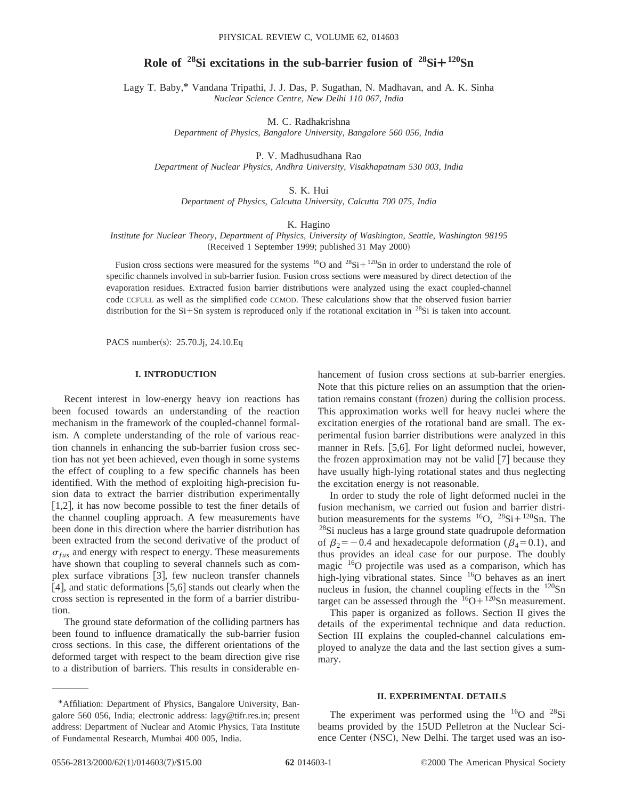# **Role of**  $28\text{Si}$  excitations in the sub-barrier fusion of  $28\text{Si} + 120\text{Sn}$

Lagy T. Baby,\* Vandana Tripathi, J. J. Das, P. Sugathan, N. Madhavan, and A. K. Sinha *Nuclear Science Centre, New Delhi 110 067, India*

M. C. Radhakrishna

*Department of Physics, Bangalore University, Bangalore 560 056, India*

P. V. Madhusudhana Rao

*Department of Nuclear Physics, Andhra University, Visakhapatnam 530 003, India*

S. K. Hui

*Department of Physics, Calcutta University, Calcutta 700 075, India*

K. Hagino

*Institute for Nuclear Theory, Department of Physics, University of Washington, Seattle, Washington 98195* (Received 1 September 1999; published 31 May 2000)

Fusion cross sections were measured for the systems  ${}^{16}O$  and  ${}^{28}Si + {}^{120}Sn$  in order to understand the role of specific channels involved in sub-barrier fusion. Fusion cross sections were measured by direct detection of the evaporation residues. Extracted fusion barrier distributions were analyzed using the exact coupled-channel code CCFULL as well as the simplified code CCMOD. These calculations show that the observed fusion barrier distribution for the  $Si+Sn$  system is reproduced only if the rotational excitation in <sup>28</sup>Si is taken into account.

PACS number(s): 25.70.Jj, 24.10.Eq

#### **I. INTRODUCTION**

Recent interest in low-energy heavy ion reactions has been focused towards an understanding of the reaction mechanism in the framework of the coupled-channel formalism. A complete understanding of the role of various reaction channels in enhancing the sub-barrier fusion cross section has not yet been achieved, even though in some systems the effect of coupling to a few specific channels has been identified. With the method of exploiting high-precision fusion data to extract the barrier distribution experimentally  $[1,2]$ , it has now become possible to test the finer details of the channel coupling approach. A few measurements have been done in this direction where the barrier distribution has been extracted from the second derivative of the product of  $\sigma_{fus}$  and energy with respect to energy. These measurements have shown that coupling to several channels such as complex surface vibrations  $\lceil 3 \rceil$ , few nucleon transfer channels [4], and static deformations  $[5,6]$  stands out clearly when the cross section is represented in the form of a barrier distribution.

The ground state deformation of the colliding partners has been found to influence dramatically the sub-barrier fusion cross sections. In this case, the different orientations of the deformed target with respect to the beam direction give rise to a distribution of barriers. This results in considerable enhancement of fusion cross sections at sub-barrier energies. Note that this picture relies on an assumption that the orientation remains constant (frozen) during the collision process. This approximation works well for heavy nuclei where the excitation energies of the rotational band are small. The experimental fusion barrier distributions were analyzed in this manner in Refs. [5,6]. For light deformed nuclei, however, the frozen approximation may not be valid  $[7]$  because they have usually high-lying rotational states and thus neglecting the excitation energy is not reasonable.

In order to study the role of light deformed nuclei in the fusion mechanism, we carried out fusion and barrier distribution measurements for the systems  ${}^{16}O$ ,  ${}^{28}Si + {}^{120}Sn$ . The <sup>28</sup>Si nucleus has a large ground state quadrupole deformation of  $\beta_2$ = -0.4 and hexadecapole deformation ( $\beta_4$ =0.1), and thus provides an ideal case for our purpose. The doubly magic  $16$ O projectile was used as a comparison, which has high-lying vibrational states. Since <sup>16</sup>O behaves as an inert nucleus in fusion, the channel coupling effects in the  $120\text{Sn}$ target can be assessed through the  $16O+120Sn$  measurement.

This paper is organized as follows. Section II gives the details of the experimental technique and data reduction. Section III explains the coupled-channel calculations employed to analyze the data and the last section gives a summary.

### **II. EXPERIMENTAL DETAILS**

The experiment was performed using the  $16$ O and  $28$ Si beams provided by the 15UD Pelletron at the Nuclear Science Center (NSC), New Delhi. The target used was an iso-

<sup>\*</sup>Affiliation: Department of Physics, Bangalore University, Bangalore 560 056, India; electronic address: lagy@tifr.res.in; present address: Department of Nuclear and Atomic Physics, Tata Institute of Fundamental Research, Mumbai 400 005, India.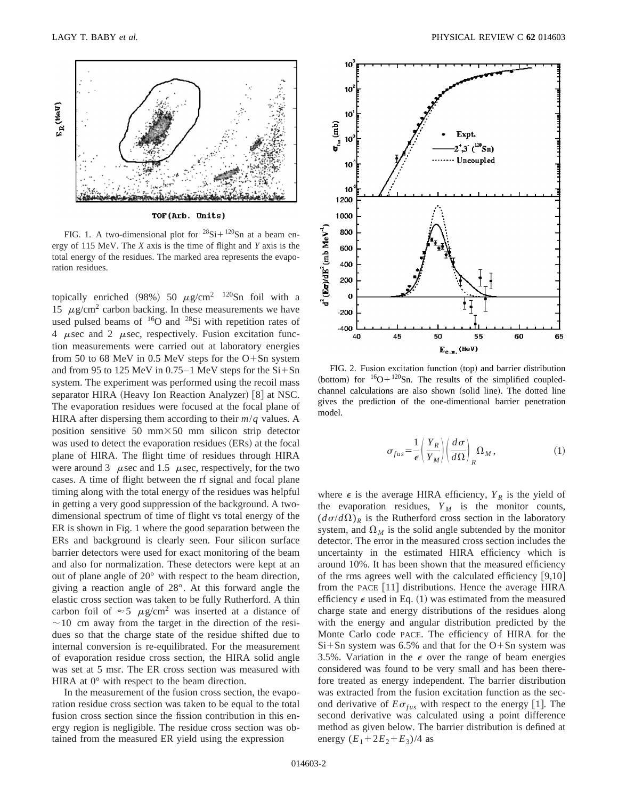

TOF(Arb. Units)

FIG. 1. A two-dimensional plot for  ${}^{28}\text{Si}+{}^{120}\text{Sn}$  at a beam energy of 115 MeV. The *X* axis is the time of flight and *Y* axis is the total energy of the residues. The marked area represents the evaporation residues.

topically enriched (98%) 50  $\mu$ g/cm<sup>2</sup> <sup>120</sup>Sn foil with a 15  $\mu$ g/cm<sup>2</sup> carbon backing. In these measurements we have used pulsed beams of  $16$ O and  $28$ Si with repetition rates of 4  $\mu$ sec and 2  $\mu$ sec, respectively. Fusion excitation function measurements were carried out at laboratory energies from 50 to 68 MeV in 0.5 MeV steps for the  $O+Sn$  system and from 95 to 125 MeV in  $0.75-1$  MeV steps for the  $Si+Sn$ system. The experiment was performed using the recoil mass separator HIRA (Heavy Ion Reaction Analyzer) [8] at NSC. The evaporation residues were focused at the focal plane of HIRA after dispersing them according to their  $m/q$  values. A position sensitive 50 mm $\times$ 50 mm silicon strip detector was used to detect the evaporation residues (ERs) at the focal plane of HIRA. The flight time of residues through HIRA were around 3  $\mu$ sec and 1.5  $\mu$ sec, respectively, for the two cases. A time of flight between the rf signal and focal plane timing along with the total energy of the residues was helpful in getting a very good suppression of the background. A twodimensional spectrum of time of flight vs total energy of the ER is shown in Fig. 1 where the good separation between the ERs and background is clearly seen. Four silicon surface barrier detectors were used for exact monitoring of the beam and also for normalization. These detectors were kept at an out of plane angle of 20° with respect to the beam direction, giving a reaction angle of 28°. At this forward angle the elastic cross section was taken to be fully Rutherford. A thin carbon foil of  $\approx$  5  $\mu$ g/cm<sup>2</sup> was inserted at a distance of  $\sim$  10 cm away from the target in the direction of the residues so that the charge state of the residue shifted due to internal conversion is re-equilibrated. For the measurement of evaporation residue cross section, the HIRA solid angle was set at 5 msr. The ER cross section was measured with HIRA at 0° with respect to the beam direction.

In the measurement of the fusion cross section, the evaporation residue cross section was taken to be equal to the total fusion cross section since the fission contribution in this energy region is negligible. The residue cross section was obtained from the measured ER yield using the expression



FIG. 2. Fusion excitation function (top) and barrier distribution (bottom) for  ${}^{16}O+{}^{120}Sn$ . The results of the simplified coupledchannel calculations are also shown (solid line). The dotted line gives the prediction of the one-dimentional barrier penetration model.

$$
\sigma_{fus} = \frac{1}{\epsilon} \left( \frac{Y_R}{Y_M} \right) \left( \frac{d\sigma}{d\Omega} \right)_R \Omega_M, \tag{1}
$$

where  $\epsilon$  is the average HIRA efficiency,  $Y_R$  is the yield of the evaporation residues,  $Y_M$  is the monitor counts,  $(d\sigma/d\Omega)_R$  is the Rutherford cross section in the laboratory system, and  $\Omega_M$  is the solid angle subtended by the monitor detector. The error in the measured cross section includes the uncertainty in the estimated HIRA efficiency which is around 10%. It has been shown that the measured efficiency of the rms agrees well with the calculated efficiency  $[9,10]$ from the PACE  $[11]$  distributions. Hence the average HIRA efficiency  $\epsilon$  used in Eq. (1) was estimated from the measured charge state and energy distributions of the residues along with the energy and angular distribution predicted by the Monte Carlo code PACE. The efficiency of HIRA for the  $Si+Sn$  system was 6.5% and that for the O+Sn system was 3.5%. Variation in the  $\epsilon$  over the range of beam energies considered was found to be very small and has been therefore treated as energy independent. The barrier distribution was extracted from the fusion excitation function as the second derivative of  $E\sigma_{fus}$  with respect to the energy [1]. The second derivative was calculated using a point difference method as given below. The barrier distribution is defined at energy  $(E_1 + 2E_2 + E_3)/4$  as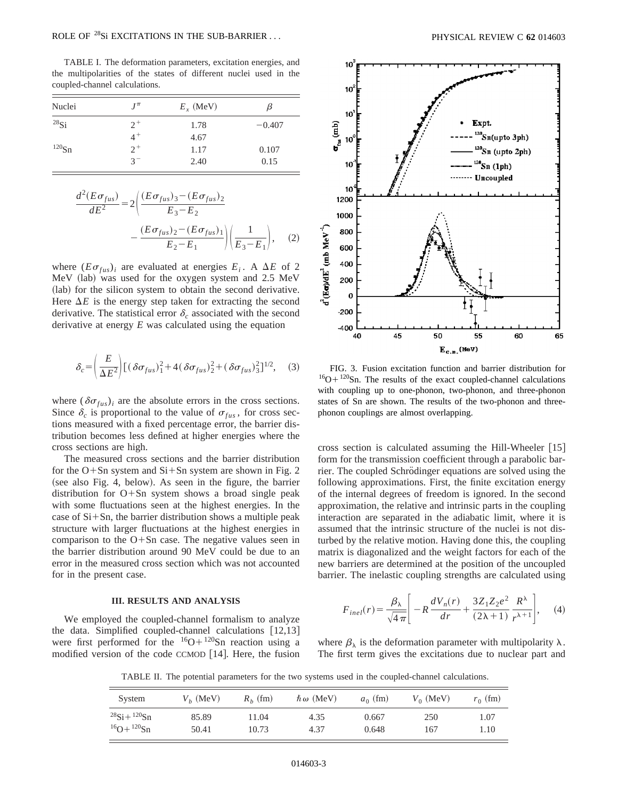## ROLE OF <sup>28</sup>Si EXCITATIONS IN THE SUB-BARRIER ... PHYSICAL REVIEW C **62** 014603

TABLE I. The deformation parameters, excitation energies, and the multipolarities of the states of different nuclei used in the coupled-channel calculations.

| Nuclei     | $J^{\pi}$ | $E_x$ (MeV) | β        |  |
|------------|-----------|-------------|----------|--|
| $^{28}$ Si | $2^{+}$   | 1.78        | $-0.407$ |  |
|            | $4^+$     | 4.67        |          |  |
| $120$ Sn   | $2^+$     | 1.17        | 0.107    |  |
|            | 37        | 2.40        | 0.15     |  |

$$
\frac{d^2(E\sigma_{fus})}{dE^2} = 2\left(\frac{(E\sigma_{fus})_3 - (E\sigma_{fus})_2}{E_3 - E_2}\right) - \frac{(E\sigma_{fus})_2 - (E\sigma_{fus})_1}{E_2 - E_1}\right)\left(\frac{1}{E_3 - E_1}\right), \quad (2)
$$

where  $(E\sigma_{fus})$ *i* are evaluated at energies  $E_i$ . A  $\Delta E$  of 2 MeV (lab) was used for the oxygen system and 2.5 MeV (lab) for the silicon system to obtain the second derivative. Here  $\Delta E$  is the energy step taken for extracting the second derivative. The statistical error  $\delta_c$  associated with the second derivative at energy *E* was calculated using the equation

$$
\delta_c = \left(\frac{E}{\Delta E^2}\right) \left[ \left(\delta \sigma_{fus}\right)_1^2 + 4\left(\delta \sigma_{fus}\right)_2^2 + \left(\delta \sigma_{fus}\right)_3^2 \right]^{1/2},\tag{3}
$$

where  $(\delta \sigma_{fus})_i$  are the absolute errors in the cross sections. Since  $\delta_c$  is proportional to the value of  $\sigma_{fus}$ , for cross sections measured with a fixed percentage error, the barrier distribution becomes less defined at higher energies where the cross sections are high.

The measured cross sections and the barrier distribution for the  $O+Sn$  system and  $Si+Sn$  system are shown in Fig. 2  $(see also Fig. 4, below). As seen in the figure, the barrier$ distribution for  $O+Sn$  system shows a broad single peak with some fluctuations seen at the highest energies. In the case of  $Si + Sn$ , the barrier distribution shows a multiple peak structure with larger fluctuations at the highest energies in comparison to the  $O+Sn$  case. The negative values seen in the barrier distribution around 90 MeV could be due to an error in the measured cross section which was not accounted for in the present case.

### **III. RESULTS AND ANALYSIS**

We employed the coupled-channel formalism to analyze the data. Simplified coupled-channel calculations  $[12,13]$ were first performed for the  $16O+120$ Sn reaction using a modified version of the code CCMOD  $[14]$ . Here, the fusion



FIG. 3. Fusion excitation function and barrier distribution for  $16O+120$ Sn. The results of the exact coupled-channel calculations with coupling up to one-phonon, two-phonon, and three-phonon states of Sn are shown. The results of the two-phonon and threephonon couplings are almost overlapping.

cross section is calculated assuming the Hill-Wheeler  $[15]$ form for the transmission coefficient through a parabolic barrier. The coupled Schrödinger equations are solved using the following approximations. First, the finite excitation energy of the internal degrees of freedom is ignored. In the second approximation, the relative and intrinsic parts in the coupling interaction are separated in the adiabatic limit, where it is assumed that the intrinsic structure of the nuclei is not disturbed by the relative motion. Having done this, the coupling matrix is diagonalized and the weight factors for each of the new barriers are determined at the position of the uncoupled barrier. The inelastic coupling strengths are calculated using

$$
F_{inel}(r) = \frac{\beta_{\lambda}}{\sqrt{4\pi}} \left[ -R\frac{dV_n(r)}{dr} + \frac{3Z_1Z_2e^2}{(2\lambda+1)} \frac{R^{\lambda}}{r^{\lambda+1}} \right], \quad (4)
$$

where  $\beta_{\lambda}$  is the deformation parameter with multipolarity  $\lambda$ . The first term gives the excitations due to nuclear part and

TABLE II. The potential parameters for the two systems used in the coupled-channel calculations.

| System               | $V_h$ (MeV) | $R_h$ (fm) | $\hbar \omega$ (MeV) | $a_0$ (fm) | $V_0$ (MeV) | $r_0$ (fm) |
|----------------------|-------------|------------|----------------------|------------|-------------|------------|
| $^{28}Si + ^{120}Sn$ | 85.89       | 11.04      | 4.35                 | 0.667      | 250         | 1.07       |
| $16O+120Sn$          | 50.41       | 10.73      | 4.37                 | 0.648      | 167         | 1.10       |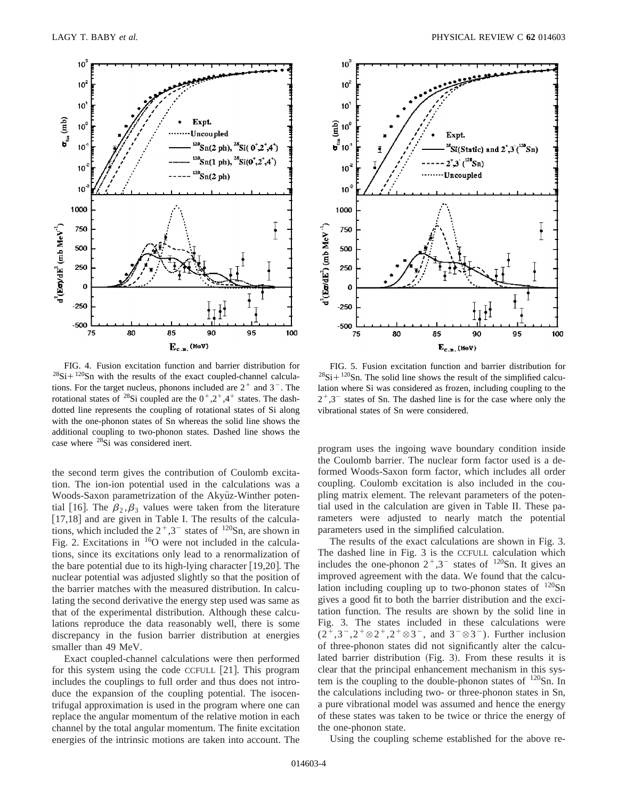

FIG. 4. Fusion excitation function and barrier distribution for  $28Si + 120Sn$  with the results of the exact coupled-channel calculations. For the target nucleus, phonons included are  $2^+$  and  $3^-$ . The rotational states of <sup>28</sup>Si coupled are the  $0^+, 2^+, 4^+$  states. The dashdotted line represents the coupling of rotational states of Si along with the one-phonon states of Sn whereas the solid line shows the additional coupling to two-phonon states. Dashed line shows the case where <sup>28</sup>Si was considered inert.

the second term gives the contribution of Coulomb excitation. The ion-ion potential used in the calculations was a Woods-Saxon parametrization of the Akyüz-Winther potential [16]. The  $\beta_2, \beta_3$  values were taken from the literature  $[17,18]$  and are given in Table I. The results of the calculations, which included the  $2^+,3^-$  states of  $^{120}Sn$ , are shown in Fig. 2. Excitations in  $^{16}O$  were not included in the calculations, since its excitations only lead to a renormalization of the bare potential due to its high-lying character  $[19,20]$ . The nuclear potential was adjusted slightly so that the position of the barrier matches with the measured distribution. In calculating the second derivative the energy step used was same as that of the experimental distribution. Although these calculations reproduce the data reasonably well, there is some discrepancy in the fusion barrier distribution at energies smaller than 49 MeV.

Exact coupled-channel calculations were then performed for this system using the code CCFULL  $[21]$ . This program includes the couplings to full order and thus does not introduce the expansion of the coupling potential. The isocentrifugal approximation is used in the program where one can replace the angular momentum of the relative motion in each channel by the total angular momentum. The finite excitation energies of the intrinsic motions are taken into account. The



FIG. 5. Fusion excitation function and barrier distribution for  $28Si + 120Sn$ . The solid line shows the result of the simplified calculation where Si was considered as frozen, including coupling to the  $2^{\dagger}$ , 3<sup>-</sup> states of Sn. The dashed line is for the case where only the vibrational states of Sn were considered.

program uses the ingoing wave boundary condition inside the Coulomb barrier. The nuclear form factor used is a deformed Woods-Saxon form factor, which includes all order coupling. Coulomb excitation is also included in the coupling matrix element. The relevant parameters of the potential used in the calculation are given in Table II. These parameters were adjusted to nearly match the potential parameters used in the simplified calculation.

The results of the exact calculations are shown in Fig. 3. The dashed line in Fig. 3 is the CCFULL calculation which includes the one-phonon  $2^+,3^-$  states of <sup>120</sup>Sn. It gives an improved agreement with the data. We found that the calculation including coupling up to two-phonon states of  $^{120}Sn$ gives a good fit to both the barrier distribution and the excitation function. The results are shown by the solid line in Fig. 3. The states included in these calculations were  $(2^+, 3^-, 2^+ \otimes 2^+, 2^+ \otimes 3^-)$ , and  $3^- \otimes 3^-$ ). Further inclusion of three-phonon states did not significantly alter the calculated barrier distribution (Fig. 3). From these results it is clear that the principal enhancement mechanism in this system is the coupling to the double-phonon states of  $120$ Sn. In the calculations including two- or three-phonon states in Sn, a pure vibrational model was assumed and hence the energy of these states was taken to be twice or thrice the energy of the one-phonon state.

Using the coupling scheme established for the above re-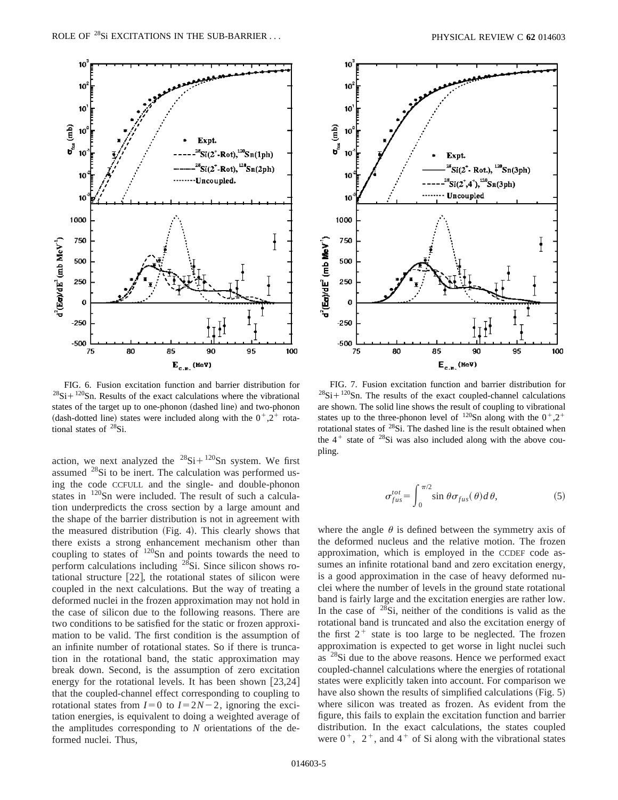

FIG. 6. Fusion excitation function and barrier distribution for  $28Si + 120Sn$ . Results of the exact calculations where the vibrational states of the target up to one-phonon (dashed line) and two-phonon (dash-dotted line) states were included along with the  $0^{\degree}$ ,  $2^{\degree}$  rotational states of <sup>28</sup>Si.

action, we next analyzed the  $^{28}Si + ^{120}Sn$  system. We first assumed 28Si to be inert. The calculation was performed using the code CCFULL and the single- and double-phonon states in <sup>120</sup>Sn were included. The result of such a calculation underpredicts the cross section by a large amount and the shape of the barrier distribution is not in agreement with the measured distribution  $(Fig. 4)$ . This clearly shows that there exists a strong enhancement mechanism other than coupling to states of 120Sn and points towards the need to perform calculations including 28Si. Since silicon shows rotational structure  $[22]$ , the rotational states of silicon were coupled in the next calculations. But the way of treating a deformed nuclei in the frozen approximation may not hold in the case of silicon due to the following reasons. There are two conditions to be satisfied for the static or frozen approximation to be valid. The first condition is the assumption of an infinite number of rotational states. So if there is truncation in the rotational band, the static approximation may break down. Second, is the assumption of zero excitation energy for the rotational levels. It has been shown  $[23,24]$ that the coupled-channel effect corresponding to coupling to rotational states from  $I=0$  to  $I=2N-2$ , ignoring the excitation energies, is equivalent to doing a weighted average of the amplitudes corresponding to *N* orientations of the deformed nuclei. Thus,



FIG. 7. Fusion excitation function and barrier distribution for  $28Si+120Sn$ . The results of the exact coupled-channel calculations are shown. The solid line shows the result of coupling to vibrational states up to the three-phonon level of  $120$ Sn along with the  $0^+,2^+$ rotational states of  $28\hat{Si}$ . The dashed line is the result obtained when the  $4^+$  state of  $28Si$  was also included along with the above coupling.

$$
\sigma_{fus}^{tot} = \int_0^{\pi/2} \sin \theta \sigma_{fus}(\theta) d\theta, \qquad (5)
$$

where the angle  $\theta$  is defined between the symmetry axis of the deformed nucleus and the relative motion. The frozen approximation, which is employed in the CCDEF code assumes an infinite rotational band and zero excitation energy, is a good approximation in the case of heavy deformed nuclei where the number of levels in the ground state rotational band is fairly large and the excitation energies are rather low. In the case of  $28Si$ , neither of the conditions is valid as the rotational band is truncated and also the excitation energy of the first  $2^+$  state is too large to be neglected. The frozen approximation is expected to get worse in light nuclei such as  $^{28}$ Si due to the above reasons. Hence we performed exact coupled-channel calculations where the energies of rotational states were explicitly taken into account. For comparison we have also shown the results of simplified calculations  $(Fig. 5)$ where silicon was treated as frozen. As evident from the figure, this fails to explain the excitation function and barrier distribution. In the exact calculations, the states coupled were  $0^+$ ,  $2^+$ , and  $4^+$  of Si along with the vibrational states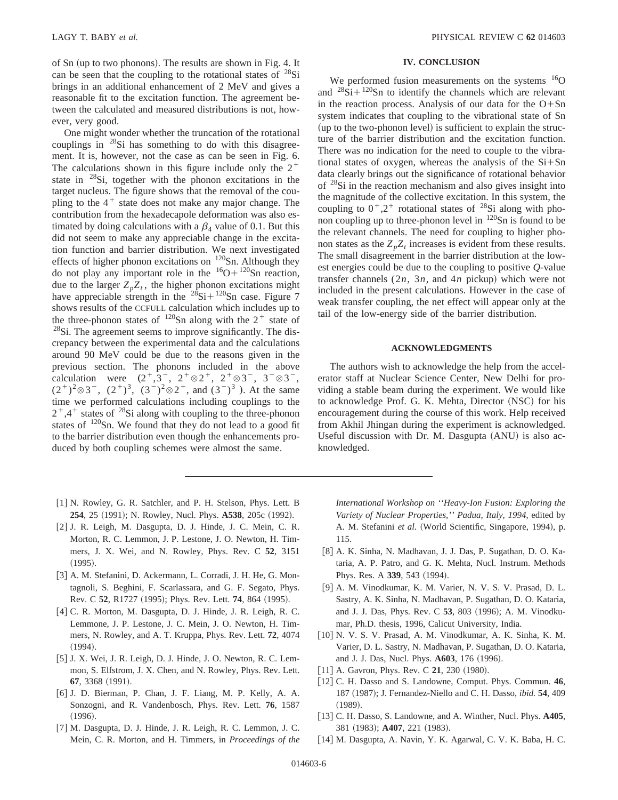of Sn (up to two phonons). The results are shown in Fig. 4. It can be seen that the coupling to the rotational states of  $^{28}Si$ brings in an additional enhancement of 2 MeV and gives a reasonable fit to the excitation function. The agreement between the calculated and measured distributions is not, however, very good.

One might wonder whether the truncation of the rotational couplings in 28Si has something to do with this disagreement. It is, however, not the case as can be seen in Fig. 6. The calculations shown in this figure include only the  $2^+$ state in  $28Si$ , together with the phonon excitations in the target nucleus. The figure shows that the removal of the coupling to the  $4^+$  state does not make any major change. The contribution from the hexadecapole deformation was also estimated by doing calculations with a  $\beta_4$  value of 0.1. But this did not seem to make any appreciable change in the excitation function and barrier distribution. We next investigated effects of higher phonon excitations on  $120$ Sn. Although they do not play any important role in the  ${}^{16}O + {}^{120}Sn$  reaction, due to the larger  $Z<sub>n</sub>Z<sub>t</sub>$ , the higher phonon excitations might have appreciable strength in the  $^{28}$ Si+ $^{120}$ Sn case. Figure 7 shows results of the CCFULL calculation which includes up to the three-phonon states of  $120$ Sn along with the 2<sup>+</sup> state of  $28$ Si. The agreement seems to improve significantly. The discrepancy between the experimental data and the calculations around 90 MeV could be due to the reasons given in the previous section. The phonons included in the above calculation were  $(2^+, 3^-, 2^+ \otimes 2^+, 2^+ \otimes 3^-, 3^- \otimes 3^-,$  $(2^+)^2 \otimes 3^-$ ,  $(2^+)^3$ ,  $(3^-)^2 \otimes 2^+$ , and  $(3^-)^3$ ). At the same time we performed calculations including couplings to the  $2^+$ , 4<sup>+</sup> states of <sup>28</sup>Si along with coupling to the three-phonon states of  $120$ Sn. We found that they do not lead to a good fit to the barrier distribution even though the enhancements produced by both coupling schemes were almost the same.

- [1] N. Rowley, G. R. Satchler, and P. H. Stelson, Phys. Lett. B 254, 25 (1991); N. Rowley, Nucl. Phys. A538, 205c (1992).
- [2] J. R. Leigh, M. Dasgupta, D. J. Hinde, J. C. Mein, C. R. Morton, R. C. Lemmon, J. P. Lestone, J. O. Newton, H. Timmers, J. X. Wei, and N. Rowley, Phys. Rev. C **52**, 3151  $(1995).$
- [3] A. M. Stefanini, D. Ackermann, L. Corradi, J. H. He, G. Montagnoli, S. Beghini, F. Scarlassara, and G. F. Segato, Phys. Rev. C 52, R1727 (1995); Phys. Rev. Lett. 74, 864 (1995).
- [4] C. R. Morton, M. Dasgupta, D. J. Hinde, J. R. Leigh, R. C. Lemmone, J. P. Lestone, J. C. Mein, J. O. Newton, H. Timmers, N. Rowley, and A. T. Kruppa, Phys. Rev. Lett. **72**, 4074  $(1994).$
- [5] J. X. Wei, J. R. Leigh, D. J. Hinde, J. O. Newton, R. C. Lemmon, S. Elfstrom, J. X. Chen, and N. Rowley, Phys. Rev. Lett. **67**, 3368 (1991).
- [6] J. D. Bierman, P. Chan, J. F. Liang, M. P. Kelly, A. A. Sonzogni, and R. Vandenbosch, Phys. Rev. Lett. **76**, 1587  $(1996).$
- [7] M. Dasgupta, D. J. Hinde, J. R. Leigh, R. C. Lemmon, J. C. Mein, C. R. Morton, and H. Timmers, in *Proceedings of the*

### **IV. CONCLUSION**

We performed fusion measurements on the systems  $^{16}O$ and  $^{28}Si + ^{120}Sn$  to identify the channels which are relevant in the reaction process. Analysis of our data for the  $O+Sn$ system indicates that coupling to the vibrational state of Sn (up to the two-phonon level) is sufficient to explain the structure of the barrier distribution and the excitation function. There was no indication for the need to couple to the vibrational states of oxygen, whereas the analysis of the  $Si + Sn$ data clearly brings out the significance of rotational behavior of 28Si in the reaction mechanism and also gives insight into the magnitude of the collective excitation. In this system, the coupling to  $0^+, 2^+$  rotational states of <sup>28</sup>Si along with phonon coupling up to three-phonon level in  $120$ Sn is found to be the relevant channels. The need for coupling to higher phonon states as the  $Z_p Z_t$  increases is evident from these results. The small disagreement in the barrier distribution at the lowest energies could be due to the coupling to positive *Q*-value transfer channels  $(2n, 3n,$  and  $4n$  pickup) which were not included in the present calculations. However in the case of weak transfer coupling, the net effect will appear only at the tail of the low-energy side of the barrier distribution.

#### **ACKNOWLEDGMENTS**

The authors wish to acknowledge the help from the accelerator staff at Nuclear Science Center, New Delhi for providing a stable beam during the experiment. We would like to acknowledge Prof. G. K. Mehta, Director (NSC) for his encouragement during the course of this work. Help received from Akhil Jhingan during the experiment is acknowledged. Useful discussion with Dr. M. Dasgupta  $(ANU)$  is also acknowledged.

*International Workshop on ''Heavy-Ion Fusion: Exploring the Variety of Nuclear Properties,'' Padua, Italy, 1994*, edited by A. M. Stefanini et al. (World Scientific, Singapore, 1994), p. 115.

- [8] A. K. Sinha, N. Madhavan, J. J. Das, P. Sugathan, D. O. Kataria, A. P. Patro, and G. K. Mehta, Nucl. Instrum. Methods Phys. Res. A 339, 543 (1994).
- [9] A. M. Vinodkumar, K. M. Varier, N. V. S. V. Prasad, D. L. Sastry, A. K. Sinha, N. Madhavan, P. Sugathan, D. O. Kataria, and J. J. Das, Phys. Rev. C 53, 803 (1996); A. M. Vinodkumar, Ph.D. thesis, 1996, Calicut University, India.
- [10] N. V. S. V. Prasad, A. M. Vinodkumar, A. K. Sinha, K. M. Varier, D. L. Sastry, N. Madhavan, P. Sugathan, D. O. Kataria, and J. J. Das, Nucl. Phys. **A603**, 176 (1996).
- $[11]$  A. Gavron, Phys. Rev. C 21, 230  $(1980)$ .
- [12] C. H. Dasso and S. Landowne, Comput. Phys. Commun. 46, 187 (1987); J. Fernandez-Niello and C. H. Dasso, *ibid.* **54**, 409  $(1989).$
- [13] C. H. Dasso, S. Landowne, and A. Winther, Nucl. Phys. A405, 381 (1983); **A407**, 221 (1983).
- [14] M. Dasgupta, A. Navin, Y. K. Agarwal, C. V. K. Baba, H. C.